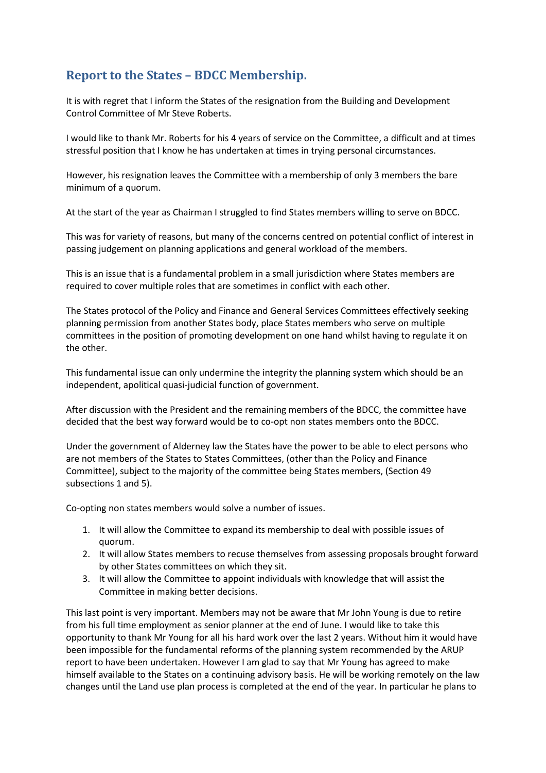## **Report to the States – BDCC Membership.**

It is with regret that I inform the States of the resignation from the Building and Development Control Committee of Mr Steve Roberts.

I would like to thank Mr. Roberts for his 4 years of service on the Committee, a difficult and at times stressful position that I know he has undertaken at times in trying personal circumstances.

However, his resignation leaves the Committee with a membership of only 3 members the bare minimum of a quorum.

At the start of the year as Chairman I struggled to find States members willing to serve on BDCC.

This was for variety of reasons, but many of the concerns centred on potential conflict of interest in passing judgement on planning applications and general workload of the members.

This is an issue that is a fundamental problem in a small jurisdiction where States members are required to cover multiple roles that are sometimes in conflict with each other.

The States protocol of the Policy and Finance and General Services Committees effectively seeking planning permission from another States body, place States members who serve on multiple committees in the position of promoting development on one hand whilst having to regulate it on the other.

This fundamental issue can only undermine the integrity the planning system which should be an independent, apolitical quasi-judicial function of government.

After discussion with the President and the remaining members of the BDCC, the committee have decided that the best way forward would be to co-opt non states members onto the BDCC.

Under the government of Alderney law the States have the power to be able to elect persons who are not members of the States to States Committees, (other than the Policy and Finance Committee), subject to the majority of the committee being States members, (Section 49 subsections 1 and 5).

Co-opting non states members would solve a number of issues.

- 1. It will allow the Committee to expand its membership to deal with possible issues of quorum.
- 2. It will allow States members to recuse themselves from assessing proposals brought forward by other States committees on which they sit.
- 3. It will allow the Committee to appoint individuals with knowledge that will assist the Committee in making better decisions.

This last point is very important. Members may not be aware that Mr John Young is due to retire from his full time employment as senior planner at the end of June. I would like to take this opportunity to thank Mr Young for all his hard work over the last 2 years. Without him it would have been impossible for the fundamental reforms of the planning system recommended by the ARUP report to have been undertaken. However I am glad to say that Mr Young has agreed to make himself available to the States on a continuing advisory basis. He will be working remotely on the law changes until the Land use plan process is completed at the end of the year. In particular he plans to